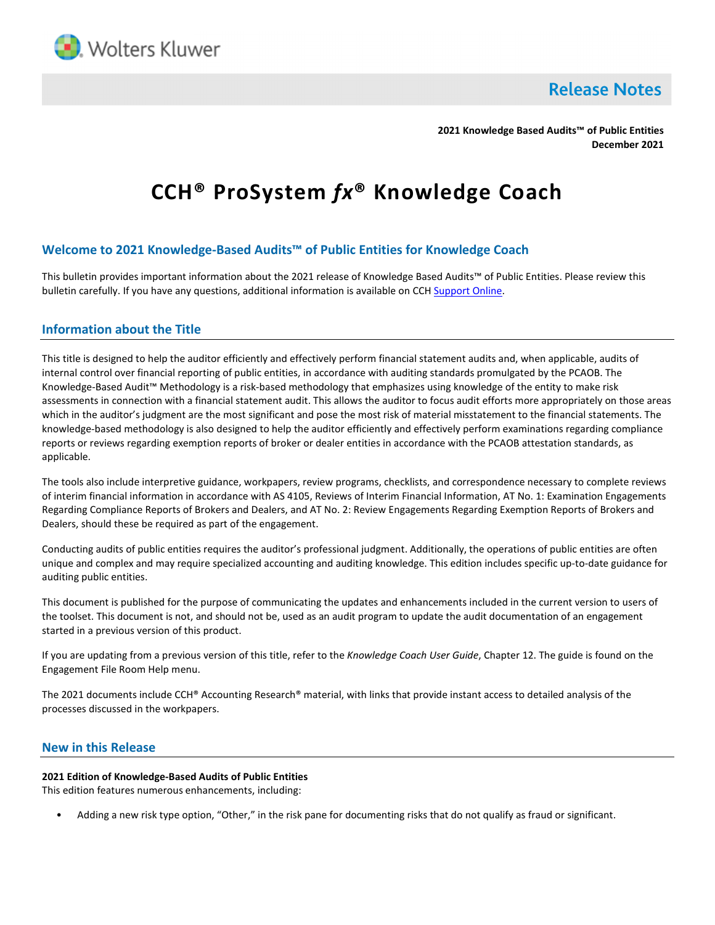

**Release Notes** 

**2021 Knowledge Based Audits™ of Public Entities December 2021**

# **CCH® ProSystem** *fx***® Knowledge Coach**

## **Welcome to 2021 Knowledge-Based Audits™ of Public Entities for Knowledge Coach**

This bulletin provides important information about the 2021 release of Knowledge Based Audits™ of Public Entities. Please review this bulletin carefully. If you have any questions, additional information is available on CC[H Support Online.](http://support.cch.com/productsupport/)

## **Information about the Title**

This title is designed to help the auditor efficiently and effectively perform financial statement audits and, when applicable, audits of internal control over financial reporting of public entities, in accordance with auditing standards promulgated by the PCAOB. The Knowledge-Based Audit™ Methodology is a risk-based methodology that emphasizes using knowledge of the entity to make risk assessments in connection with a financial statement audit. This allows the auditor to focus audit efforts more appropriately on those areas which in the auditor's judgment are the most significant and pose the most risk of material misstatement to the financial statements. The knowledge-based methodology is also designed to help the auditor efficiently and effectively perform examinations regarding compliance reports or reviews regarding exemption reports of broker or dealer entities in accordance with the PCAOB attestation standards, as applicable.

The tools also include interpretive guidance, workpapers, review programs, checklists, and correspondence necessary to complete reviews of interim financial information in accordance with AS 4105, Reviews of Interim Financial Information, AT No. 1: Examination Engagements Regarding Compliance Reports of Brokers and Dealers, and AT No. 2: Review Engagements Regarding Exemption Reports of Brokers and Dealers, should these be required as part of the engagement.

Conducting audits of public entities requires the auditor's professional judgment. Additionally, the operations of public entities are often unique and complex and may require specialized accounting and auditing knowledge. This edition includes specific up-to-date guidance for auditing public entities.

This document is published for the purpose of communicating the updates and enhancements included in the current version to users of the toolset. This document is not, and should not be, used as an audit program to update the audit documentation of an engagement started in a previous version of this product.

If you are updating from a previous version of this title, refer to the *Knowledge Coach User Guide*, Chapter 12. The guide is found on the Engagement File Room Help menu.

The 2021 documents include CCH® Accounting Research® material, with links that provide instant access to detailed analysis of the processes discussed in the workpapers.

## **New in this Release**

#### **2021 Edition of Knowledge-Based Audits of Public Entities**

This edition features numerous enhancements, including:

• Adding a new risk type option, "Other," in the risk pane for documenting risks that do not qualify as fraud or significant.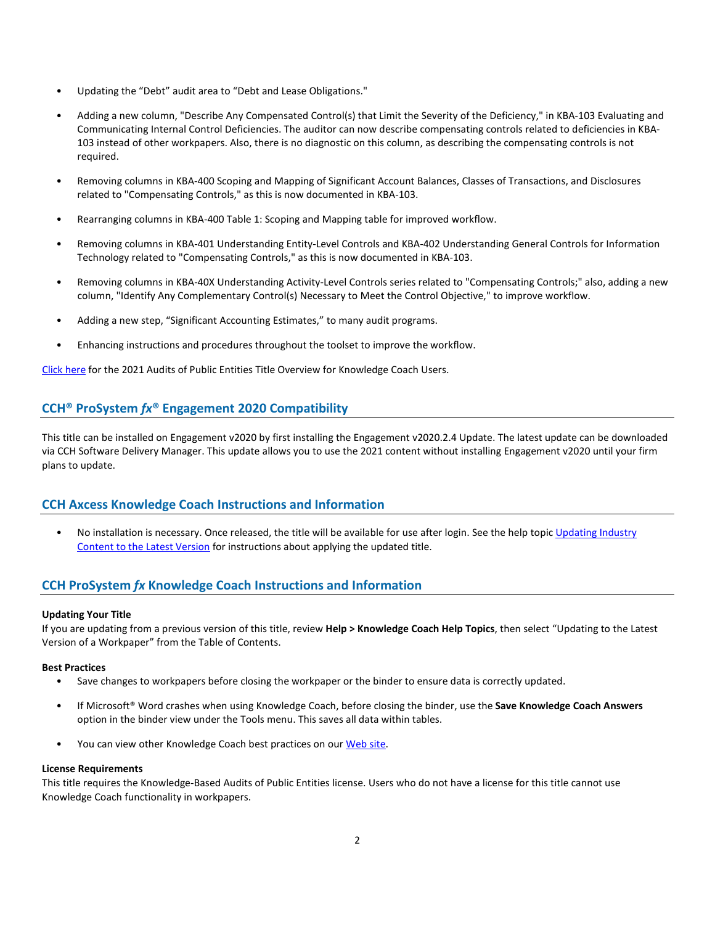- Updating the "Debt" audit area to "Debt and Lease Obligations."
- Adding a new column, "Describe Any Compensated Control(s) that Limit the Severity of the Deficiency," in KBA-103 Evaluating and Communicating Internal Control Deficiencies. The auditor can now describe compensating controls related to deficiencies in KBA-103 instead of other workpapers. Also, there is no diagnostic on this column, as describing the compensating controls is not required.
- Removing columns in KBA-400 Scoping and Mapping of Significant Account Balances, Classes of Transactions, and Disclosures related to "Compensating Controls," as this is now documented in KBA-103.
- Rearranging columns in KBA-400 Table 1: Scoping and Mapping table for improved workflow.
- Removing columns in KBA-401 Understanding Entity-Level Controls and KBA-402 Understanding General Controls for Information Technology related to "Compensating Controls," as this is now documented in KBA-103.
- Removing columns in KBA-40X Understanding Activity-Level Controls series related to "Compensating Controls;" also, adding a new column, "Identify Any Complementary Control(s) Necessary to Meet the Control Objective," to improve workflow.
- Adding a new step, "Significant Accounting Estimates," to many audit programs.
- Enhancing instructions and procedures throughout the toolset to improve the workflow.

[Click here](http://support.cch.com/updates/KnowledgeCoach/pdf/guides_tab/2021%20Public%20Entities%20Title%20Overview%20for%20Knowledge%20Coach%20Users.pdf) for the 2021 Audits of Public Entities Title Overview for Knowledge Coach Users.

## **CCH® ProSystem** *fx***® Engagement 2020 Compatibility**

This title can be installed on Engagement v2020 by first installing the Engagement v2020.2.4 Update. The latest update can be downloaded via CCH Software Delivery Manager. This update allows you to use the 2021 content without installing Engagement v2020 until your firm plans to update.

## **CCH Axcess Knowledge Coach Instructions and Information**

• No installation is necessary. Once released, the title will be available for use after login. See the help topic [Updating Industry](https://knowledgecoach.cchaxcess.com/Knowledge-Coach/Content/Engagements/Eng-Update-content.htm)  [Content to the Latest Version](https://knowledgecoach.cchaxcess.com/Knowledge-Coach/Content/Engagements/Eng-Update-content.htm) for instructions about applying the updated title.

## **CCH ProSystem** *fx* **Knowledge Coach Instructions and Information**

### **Updating Your Title**

If you are updating from a previous version of this title, review **Help > Knowledge Coach Help Topics**, then select "Updating to the Latest Version of a Workpaper" from the Table of Contents.

### **Best Practices**

- Save changes to workpapers before closing the workpaper or the binder to ensure data is correctly updated.
- If Microsoft® Word crashes when using Knowledge Coach, before closing the binder, use the **Save Knowledge Coach Answers** option in the binder view under the Tools menu. This saves all data within tables.
- You can view other Knowledge Coach best practices on ou[r Web](https://support.cch.com/kb/solution/000034942/sw34947) site.

#### **License Requirements**

This title requires the Knowledge-Based Audits of Public Entities license. Users who do not have a license for this title cannot use Knowledge Coach functionality in workpapers.